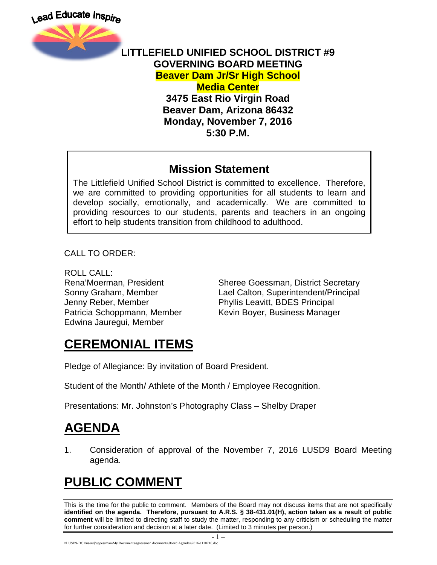

#### **LITTLEFIELD UNIFIED SCHOOL DISTRICT #9 GOVERNING BOARD MEETING Beaver Dam Jr/Sr High School Media Center 3475 East Rio Virgin Road Beaver Dam, Arizona 86432 Monday, November 7, 2016 5:30 P.M.**

#### **Mission Statement**

The Littlefield Unified School District is committed to excellence. Therefore, we are committed to providing opportunities for all students to learn and develop socially, emotionally, and academically. We are committed to providing resources to our students, parents and teachers in an ongoing effort to help students transition from childhood to adulthood.

CALL TO ORDER:

ROLL CALL: Jenny Reber, Member Phyllis Leavitt, BDES Principal Edwina Jauregui, Member

Rena'Moerman, President Sheree Goessman, District Secretary Sonny Graham, Member Lael Calton, Superintendent/Principal Patricia Schoppmann, Member Kevin Boyer, Business Manager

# **CEREMONIAL ITEMS**

Pledge of Allegiance: By invitation of Board President.

Student of the Month/ Athlete of the Month / Employee Recognition.

Presentations: Mr. Johnston's Photography Class – Shelby Draper

# **AGENDA**

1. Consideration of approval of the November 7, 2016 LUSD9 Board Meeting agenda.

# **PUBLIC COMMENT**

This is the time for the public to comment. Members of the Board may not discuss items that are not specifically **identified on the agenda. Therefore, pursuant to A.R.S. § 38-431.01(H), action taken as a result of public comment** will be limited to directing staff to study the matter, responding to any criticism or scheduling the matter for further consideration and decision at a later date. (Limited to 3 minutes per person.)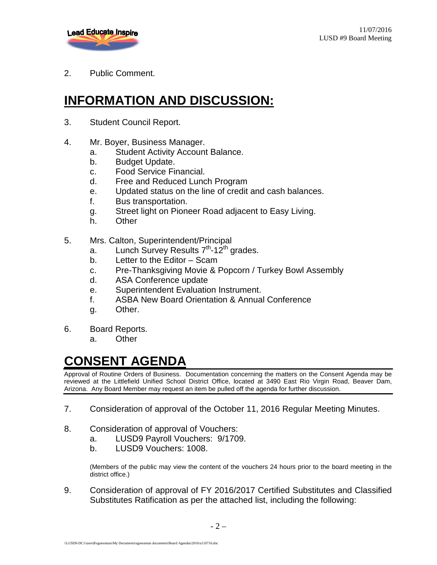

2. Public Comment.

### **INFORMATION AND DISCUSSION:**

- 3. Student Council Report.
- 4. Mr. Boyer, Business Manager.
	- a. Student Activity Account Balance.
	- b. Budget Update.
	- c. Food Service Financial.
	- d. Free and Reduced Lunch Program
	- e. Updated status on the line of credit and cash balances.
	- f. Bus transportation.
	- g. Street light on Pioneer Road adjacent to Easy Living.
	- h. Other
- 5. Mrs. Calton, Superintendent/Principal
	- a. Lunch Survey Results  $7<sup>th</sup>$ -12<sup>th</sup> grades.
	- b. Letter to the Editor Scam
	- c. Pre-Thanksgiving Movie & Popcorn / Turkey Bowl Assembly
	- d. ASA Conference update
	- e. Superintendent Evaluation Instrument.
	- f. ASBA New Board Orientation & Annual Conference
	- g. Other.
- 6. Board Reports.
	- a. Other

# **CONSENT AGENDA**

Approval of Routine Orders of Business. Documentation concerning the matters on the Consent Agenda may be reviewed at the Littlefield Unified School District Office, located at 3490 East Rio Virgin Road, Beaver Dam, Arizona. Any Board Member may request an item be pulled off the agenda for further discussion.

- 7. Consideration of approval of the October 11, 2016 Regular Meeting Minutes.
- 8. Consideration of approval of Vouchers:
	- a. LUSD9 Payroll Vouchers: 9/1709.
	- b. LUSD9 Vouchers: 1008.

(Members of the public may view the content of the vouchers 24 hours prior to the board meeting in the district office.)

9. Consideration of approval of FY 2016/2017 Certified Substitutes and Classified Substitutes Ratification as per the attached list, including the following: